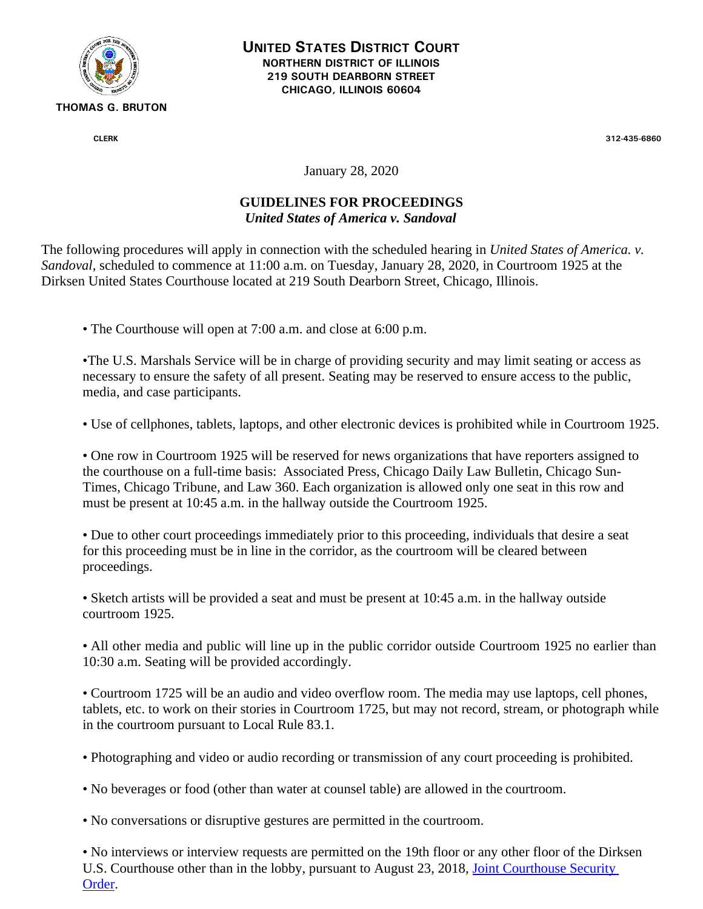

**UNITED STATES DISTRICT COURT NORTHERN DISTRICT OF ILLINOIS 219 SOUTH DEARBORN STREET CHICAGO, ILLINOIS 60604**

**CLERK 312-435-6860**

January 28, 2020

## **GUIDELINES FOR PROCEEDINGS** *United States of America v. Sandoval*

The following procedures will apply in connection with the scheduled hearing in *United States of America. v. Sandoval,* scheduled to commence at 11:00 a.m. on Tuesday, January 28, 2020, in Courtroom 1925 at the Dirksen United States Courthouse located at 219 South Dearborn Street, Chicago, Illinois.

• The Courthouse will open at 7:00 a.m. and close at 6:00 p.m.

•The U.S. Marshals Service will be in charge of providing security and may limit seating or access as necessary to ensure the safety of all present. Seating may be reserved to ensure access to the public, media, and case participants.

• Use of cellphones, tablets, laptops, and other electronic devices is prohibited while in Courtroom 1925.

• One row in Courtroom 1925 will be reserved for news organizations that have reporters assigned to the courthouse on a full-time basis: Associated Press, Chicago Daily Law Bulletin, Chicago Sun-Times, Chicago Tribune, and Law 360. Each organization is allowed only one seat in this row and must be present at 10:45 a.m. in the hallway outside the Courtroom 1925.

• Due to other court proceedings immediately prior to this proceeding, individuals that desire a seat for this proceeding must be in line in the corridor, as the courtroom will be cleared between proceedings.

• Sketch artists will be provided a seat and must be present at 10:45 a.m. in the hallway outside courtroom 1925.

• All other media and public will line up in the public corridor outside Courtroom 1925 no earlier than 10:30 a.m. Seating will be provided accordingly.

• Courtroom 1725 will be an audio and video overflow room. The media may use laptops, cell phones, tablets, etc. to work on their stories in Courtroom 1725, but may not record, stream, or photograph while in the courtroom pursuant to Local Rule 83.1.

• Photographing and video or audio recording or transmission of any court proceeding is prohibited.

• No beverages or food (other than water at counsel table) are allowed in the courtroom.

• No conversations or disruptive gestures are permitted in the courtroom.

• No interviews or interview requests are permitted on the 19th floor or any other floor of the Dirksen U.S. Courthouse other than in the lobby, pursuant to August 23, 2018, [Joint Courthouse](https://www.ilnd.uscourts.gov/_assets/_documents/Joint%20Courthouse%20Security%20Order.pdf) [Security](https://www.ilnd.uscourts.gov/_assets/_documents/Joint%20Courthouse%20Security%20Order.pdf)  [Order.](https://www.ilnd.uscourts.gov/_assets/_documents/Joint%20Courthouse%20Security%20Order.pdf)